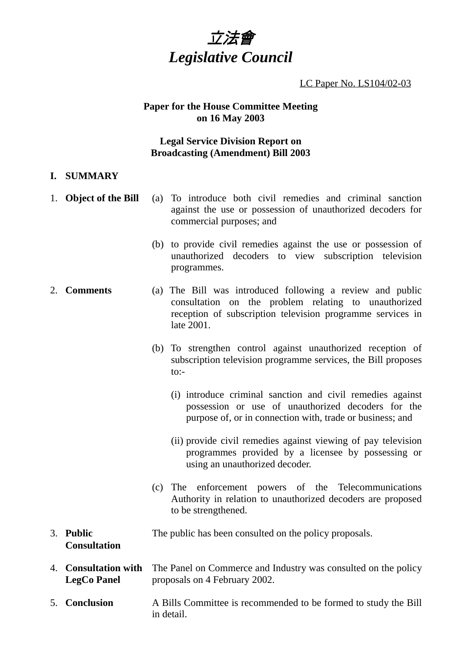

LC Paper No. LS104/02-03

### **Paper for the House Committee Meeting on 16 May 2003**

# **Legal Service Division Report on Broadcasting (Amendment) Bill 2003**

### **I. SUMMARY**

- 1. **Object of the Bill** (a) To introduce both civil remedies and criminal sanction against the use or possession of unauthorized decoders for commercial purposes; and
	- (b) to provide civil remedies against the use or possession of unauthorized decoders to view subscription television programmes.
- 2. **Comments** (a) The Bill was introduced following a review and public consultation on the problem relating to unauthorized reception of subscription television programme services in late 2001.
	- (b) To strengthen control against unauthorized reception of subscription television programme services, the Bill proposes  $\mathsf{to}\cdot$ -
		- (i) introduce criminal sanction and civil remedies against possession or use of unauthorized decoders for the purpose of, or in connection with, trade or business; and
		- (ii) provide civil remedies against viewing of pay television programmes provided by a licensee by possessing or using an unauthorized decoder.
	- (c) The enforcement powers of the Telecommunications Authority in relation to unauthorized decoders are proposed to be strengthened.
- 3. **Public Consultation** The public has been consulted on the policy proposals.
- 4. **Consultation with LegCo Panel** The Panel on Commerce and Industry was consulted on the policy proposals on 4 February 2002.
- 5. **Conclusion** A Bills Committee is recommended to be formed to study the Bill in detail.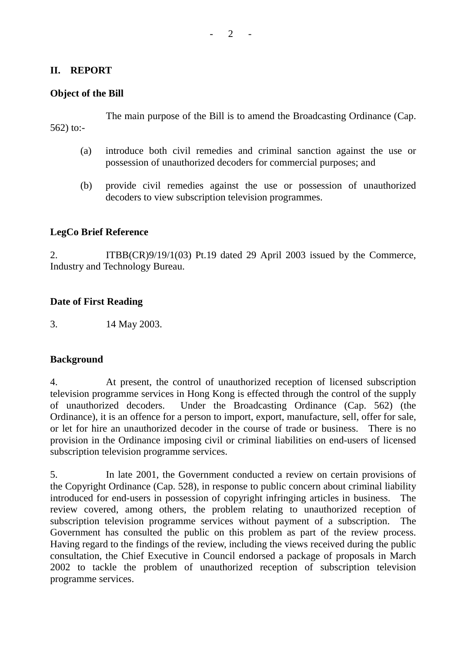### **II. REPORT**

### **Object of the Bill**

The main purpose of the Bill is to amend the Broadcasting Ordinance (Cap. 562) to:-

- (a) introduce both civil remedies and criminal sanction against the use or possession of unauthorized decoders for commercial purposes; and
- (b) provide civil remedies against the use or possession of unauthorized decoders to view subscription television programmes.

### **LegCo Brief Reference**

2. ITBB(CR)9/19/1(03) Pt.19 dated 29 April 2003 issued by the Commerce, Industry and Technology Bureau.

#### **Date of First Reading**

3. 14 May 2003.

#### **Background**

4. At present, the control of unauthorized reception of licensed subscription television programme services in Hong Kong is effected through the control of the supply of unauthorized decoders. Under the Broadcasting Ordinance (Cap. 562) (the Ordinance), it is an offence for a person to import, export, manufacture, sell, offer for sale, or let for hire an unauthorized decoder in the course of trade or business. There is no provision in the Ordinance imposing civil or criminal liabilities on end-users of licensed subscription television programme services.

5. In late 2001, the Government conducted a review on certain provisions of the Copyright Ordinance (Cap. 528), in response to public concern about criminal liability introduced for end-users in possession of copyright infringing articles in business. review covered, among others, the problem relating to unauthorized reception of subscription television programme services without payment of a subscription. The Government has consulted the public on this problem as part of the review process. Having regard to the findings of the review, including the views received during the public consultation, the Chief Executive in Council endorsed a package of proposals in March 2002 to tackle the problem of unauthorized reception of subscription television programme services.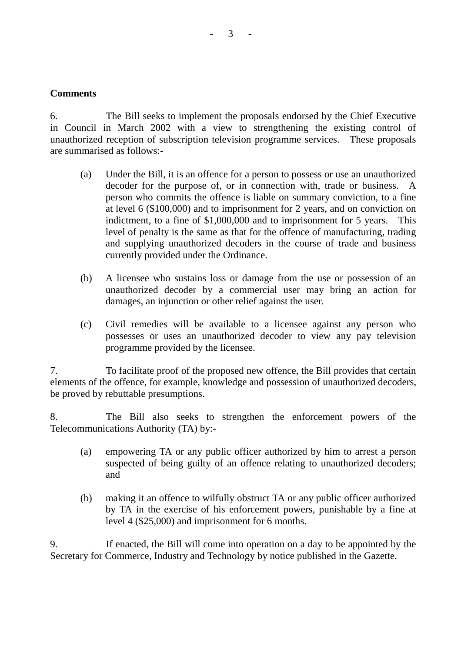### $3 - 3$

# **Comments**

6. The Bill seeks to implement the proposals endorsed by the Chief Executive in Council in March 2002 with a view to strengthening the existing control of unauthorized reception of subscription television programme services. These proposals are summarised as follows:-

- (a) Under the Bill, it is an offence for a person to possess or use an unauthorized decoder for the purpose of, or in connection with, trade or business. A person who commits the offence is liable on summary conviction, to a fine at level 6 (\$100,000) and to imprisonment for 2 years, and on conviction on indictment, to a fine of \$1,000,000 and to imprisonment for 5 years. This level of penalty is the same as that for the offence of manufacturing, trading and supplying unauthorized decoders in the course of trade and business currently provided under the Ordinance.
- (b) A licensee who sustains loss or damage from the use or possession of an unauthorized decoder by a commercial user may bring an action for damages, an injunction or other relief against the user.
- (c) Civil remedies will be available to a licensee against any person who possesses or uses an unauthorized decoder to view any pay television programme provided by the licensee.

7. To facilitate proof of the proposed new offence, the Bill provides that certain elements of the offence, for example, knowledge and possession of unauthorized decoders, be proved by rebuttable presumptions.

8. The Bill also seeks to strengthen the enforcement powers of the Telecommunications Authority (TA) by:-

- (a) empowering TA or any public officer authorized by him to arrest a person suspected of being guilty of an offence relating to unauthorized decoders; and
- (b) making it an offence to wilfully obstruct TA or any public officer authorized by TA in the exercise of his enforcement powers, punishable by a fine at level 4 (\$25,000) and imprisonment for 6 months.

9. If enacted, the Bill will come into operation on a day to be appointed by the Secretary for Commerce, Industry and Technology by notice published in the Gazette.